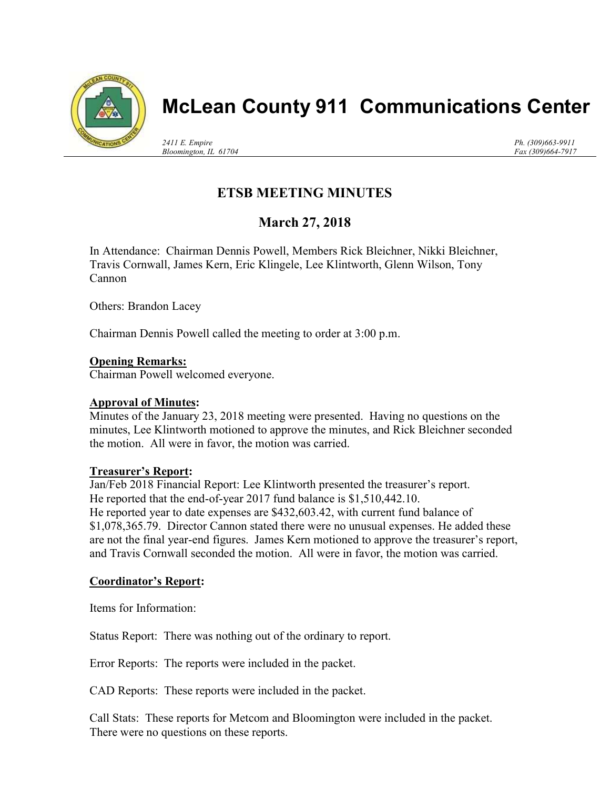

# McLean County 911 Communications Center

2411 E. Empire Bloomington, IL 61704 Ph. (309)663-9911 Fax (309)664-7917

## ETSB MEETING MINUTES

### March 27, 2018

In Attendance: Chairman Dennis Powell, Members Rick Bleichner, Nikki Bleichner, Travis Cornwall, James Kern, Eric Klingele, Lee Klintworth, Glenn Wilson, Tony Cannon

Others: Brandon Lacey

Chairman Dennis Powell called the meeting to order at 3:00 p.m.

#### Opening Remarks:

Chairman Powell welcomed everyone.

#### Approval of Minutes:

Minutes of the January 23, 2018 meeting were presented. Having no questions on the minutes, Lee Klintworth motioned to approve the minutes, and Rick Bleichner seconded the motion. All were in favor, the motion was carried.

#### Treasurer's Report:

Jan/Feb 2018 Financial Report: Lee Klintworth presented the treasurer's report. He reported that the end-of-year 2017 fund balance is \$1,510,442.10. He reported year to date expenses are \$432,603.42, with current fund balance of \$1,078,365.79. Director Cannon stated there were no unusual expenses. He added these are not the final year-end figures. James Kern motioned to approve the treasurer's report, and Travis Cornwall seconded the motion. All were in favor, the motion was carried.

#### Coordinator's Report:

Items for Information:

Status Report: There was nothing out of the ordinary to report.

Error Reports: The reports were included in the packet.

CAD Reports: These reports were included in the packet.

Call Stats: These reports for Metcom and Bloomington were included in the packet. There were no questions on these reports.